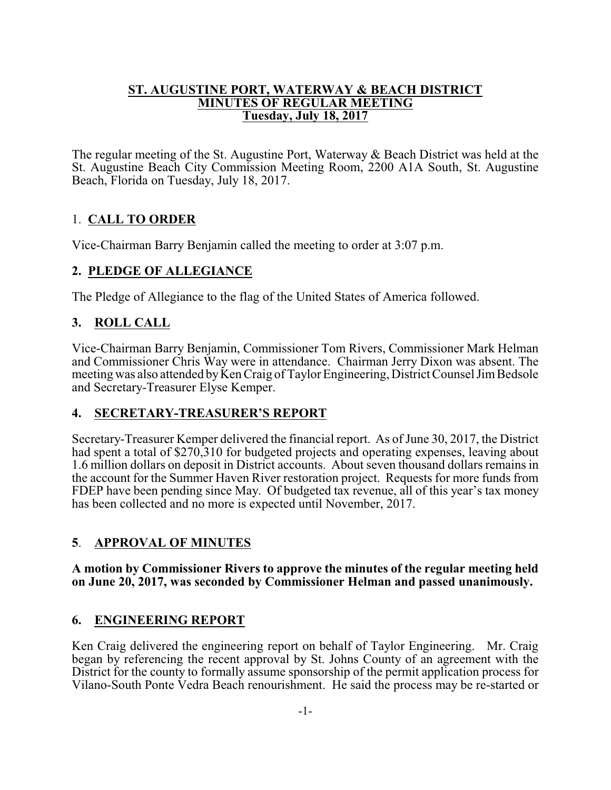#### **ST. AUGUSTINE PORT, WATERWAY & BEACH DISTRICT MINUTES OF REGULAR MEETING Tuesday, July 18, 2017**

The regular meeting of the St. Augustine Port, Waterway & Beach District was held at the St. Augustine Beach City Commission Meeting Room, 2200 A1A South, St. Augustine Beach, Florida on Tuesday, July 18, 2017.

# 1. **CALL TO ORDER**

Vice-Chairman Barry Benjamin called the meeting to order at 3:07 p.m.

## **2. PLEDGE OF ALLEGIANCE**

The Pledge of Allegiance to the flag of the United States of America followed.

# **3. ROLL CALL**

Vice-Chairman Barry Benjamin, Commissioner Tom Rivers, Commissioner Mark Helman and Commissioner Chris Way were in attendance. Chairman Jerry Dixon was absent. The meeting was also attended by Ken Craig of Taylor Engineering, District Counsel Jim Bedsole and Secretary-Treasurer Elyse Kemper.

# **4. SECRETARY-TREASURER'S REPORT**

Secretary-Treasurer Kemper delivered the financial report. As of June 30, 2017, the District had spent a total of \$270,310 for budgeted projects and operating expenses, leaving about 1.6 million dollars on deposit in District accounts. About seven thousand dollars remains in the account for the Summer Haven River restoration project. Requests for more funds from FDEP have been pending since May. Of budgeted tax revenue, all of this year's tax money has been collected and no more is expected until November, 2017.

# **5**. **APPROVAL OF MINUTES**

**A motion by Commissioner Rivers to approve the minutes of the regular meeting held on June 20, 2017, was seconded by Commissioner Helman and passed unanimously.**

## **6. ENGINEERING REPORT**

Ken Craig delivered the engineering report on behalf of Taylor Engineering. Mr. Craig began by referencing the recent approval by St. Johns County of an agreement with the District for the county to formally assume sponsorship of the permit application process for Vilano-South Ponte Vedra Beach renourishment. He said the process may be re-started or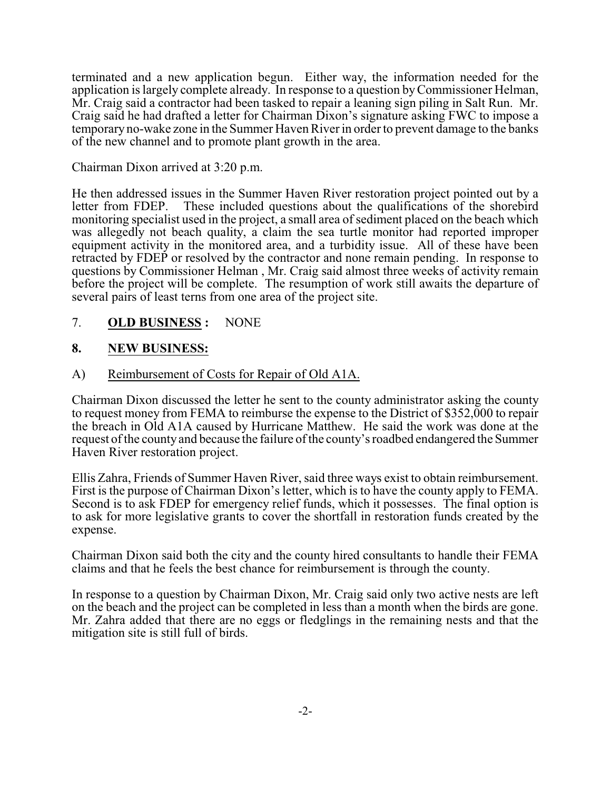terminated and a new application begun. Either way, the information needed for the application is largely complete already. In response to a question byCommissioner Helman, Mr. Craig said a contractor had been tasked to repair a leaning sign piling in Salt Run. Mr. Craig said he had drafted a letter for Chairman Dixon's signature asking FWC to impose a temporary no-wake zone in the Summer Haven River in order to prevent damage to the banks of the new channel and to promote plant growth in the area.

### Chairman Dixon arrived at 3:20 p.m.

He then addressed issues in the Summer Haven River restoration project pointed out by a letter from FDEP. These included questions about the qualifications of the shorebird These included questions about the qualifications of the shorebird monitoring specialist used in the project, a small area of sediment placed on the beach which was allegedly not beach quality, a claim the sea turtle monitor had reported improper equipment activity in the monitored area, and a turbidity issue. All of these have been retracted by FDEP or resolved by the contractor and none remain pending. In response to questions by Commissioner Helman , Mr. Craig said almost three weeks of activity remain before the project will be complete. The resumption of work still awaits the departure of several pairs of least terns from one area of the project site.

## 7. **OLD BUSINESS :** NONE

## **8. NEW BUSINESS:**

### A) Reimbursement of Costs for Repair of Old A1A.

Chairman Dixon discussed the letter he sent to the county administrator asking the county to request money from FEMA to reimburse the expense to the District of \$352,000 to repair the breach in Old A1A caused by Hurricane Matthew. He said the work was done at the request of the county and because the failure of the county's roadbed endangered the Summer Haven River restoration project.

Ellis Zahra, Friends of Summer Haven River, said three ways exist to obtain reimbursement. First is the purpose of Chairman Dixon's letter, which is to have the county apply to FEMA. Second is to ask FDEP for emergency relief funds, which it possesses. The final option is to ask for more legislative grants to cover the shortfall in restoration funds created by the expense.

Chairman Dixon said both the city and the county hired consultants to handle their FEMA claims and that he feels the best chance for reimbursement is through the county.

In response to a question by Chairman Dixon, Mr. Craig said only two active nests are left on the beach and the project can be completed in less than a month when the birds are gone. Mr. Zahra added that there are no eggs or fledglings in the remaining nests and that the mitigation site is still full of birds.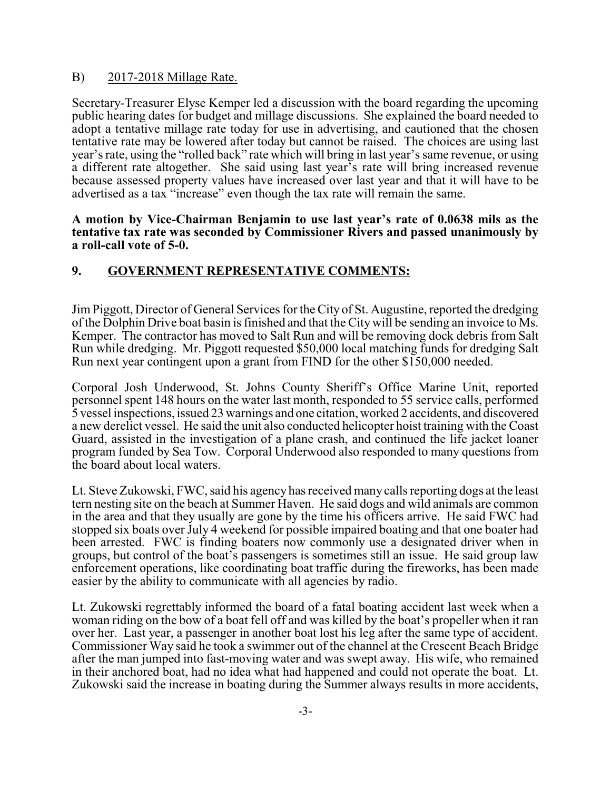#### B) 2017-2018 Millage Rate.

Secretary-Treasurer Elyse Kemper led a discussion with the board regarding the upcoming public hearing dates for budget and millage discussions. She explained the board needed to adopt a tentative millage rate today for use in advertising, and cautioned that the chosen tentative rate may be lowered after today but cannot be raised. The choices are using last year's rate, using the "rolled back" rate which will bring in last year's same revenue, or using a different rate altogether. She said using last year's rate will bring increased revenue because assessed property values have increased over last year and that it will have to be advertised as a tax "increase" even though the tax rate will remain the same.

#### **A motion by Vice-Chairman Benjamin to use last year's rate of 0.0638 mils as the tentative tax rate was seconded by Commissioner Rivers and passed unanimously by a roll-call vote of 5-0.**

## **9. GOVERNMENT REPRESENTATIVE COMMENTS:**

Jim Piggott, Director of General Services for the City of St. Augustine, reported the dredging of the Dolphin Drive boat basin is finished and that the City will be sending an invoice to Ms. Kemper. The contractor has moved to Salt Run and will be removing dock debris from Salt Run while dredging. Mr. Piggott requested \$50,000 local matching funds for dredging Salt Run next year contingent upon a grant from FIND for the other \$150,000 needed.

Corporal Josh Underwood, St. Johns County Sheriff's Office Marine Unit, reported personnel spent 148 hours on the water last month, responded to 55 service calls, performed 5 vessel inspections, issued 23 warnings and one citation, worked 2 accidents, and discovered a new derelict vessel. He said the unit also conducted helicopter hoist training with the Coast Guard, assisted in the investigation of a plane crash, and continued the life jacket loaner program funded by Sea Tow. Corporal Underwood also responded to many questions from the board about local waters.

Lt. Steve Zukowski, FWC, said his agency has received many calls reporting dogs at the least tern nesting site on the beach at Summer Haven. He said dogs and wild animals are common in the area and that they usually are gone by the time his officers arrive. He said FWC had stopped six boats over July 4 weekend for possible impaired boating and that one boater had been arrested. FWC is finding boaters now commonly use a designated driver when in groups, but control of the boat's passengers is sometimes still an issue. He said group law enforcement operations, like coordinating boat traffic during the fireworks, has been made easier by the ability to communicate with all agencies by radio.

Lt. Zukowski regrettably informed the board of a fatal boating accident last week when a woman riding on the bow of a boat fell off and was killed by the boat's propeller when it ran over her. Last year, a passenger in another boat lost his leg after the same type of accident. Commissioner Way said he took a swimmer out of the channel at the Crescent Beach Bridge after the man jumped into fast-moving water and was swept away. His wife, who remained in their anchored boat, had no idea what had happened and could not operate the boat. Lt. Zukowski said the increase in boating during the Summer always results in more accidents,